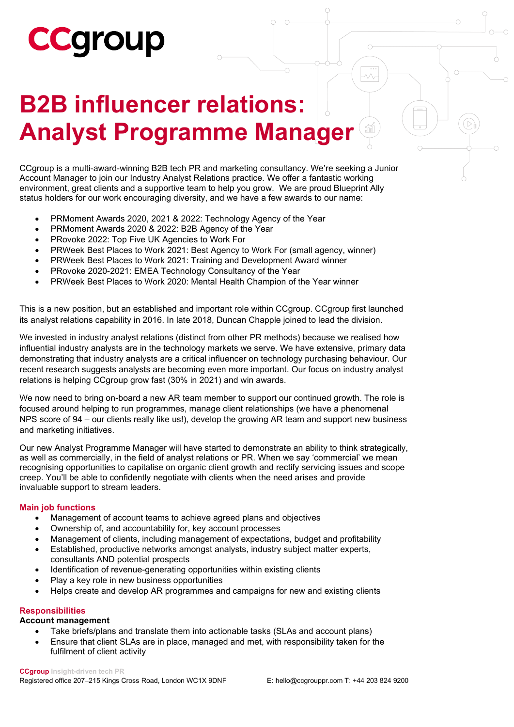# **CCGroup**

### **B2B influencer relations: Analyst Programme Manager**

CCgroup is a multi-award-winning B2B tech PR and marketing consultancy. We're seeking a Junior Account Manager to join our Industry Analyst Relations practice. We offer a fantastic working environment, great clients and a supportive team to help you grow. We are proud Blueprint Ally status holders for our work encouraging diversity, and we have a few awards to our name:

- PRMoment Awards 2020, 2021 & 2022: Technology Agency of the Year
- PRMoment Awards 2020 & 2022: B2B Agency of the Year
- PRovoke 2022: Top Five UK Agencies to Work For
- PRWeek Best Places to Work 2021: Best Agency to Work For (small agency, winner)
- PRWeek Best Places to Work 2021: Training and Development Award winner
- PRovoke 2020-2021: EMEA Technology Consultancy of the Year
- PRWeek Best Places to Work 2020: Mental Health Champion of the Year winner

This is a new position, but an established and important role within CCgroup. CCgroup first launched its analyst relations capability in 2016. In late 2018, Duncan Chapple joined to lead the division.

We invested in industry analyst relations (distinct from other PR methods) because we realised how influential industry analysts are in the technology markets we serve. We have extensive, primary data demonstrating that industry analysts are a critical influencer on technology purchasing behaviour. Our recent research suggests analysts are becoming even more important. Our focus on industry analyst relations is helping CCgroup grow fast (30% in 2021) and win awards.

We now need to bring on-board a new AR team member to support our continued growth. The role is focused around helping to run programmes, manage client relationships (we have a phenomenal NPS score of 94 – our clients really like us!), develop the growing AR team and support new business and marketing initiatives.

Our new Analyst Programme Manager will have started to demonstrate an ability to think strategically, as well as commercially, in the field of analyst relations or PR. When we say 'commercial' we mean recognising opportunities to capitalise on organic client growth and rectify servicing issues and scope creep. You'll be able to confidently negotiate with clients when the need arises and provide invaluable support to stream leaders.

#### **Main job functions**

- Management of account teams to achieve agreed plans and objectives
- Ownership of, and accountability for, key account processes
- Management of clients, including management of expectations, budget and profitability
- Established, productive networks amongst analysts, industry subject matter experts, consultants AND potential prospects
- Identification of revenue-generating opportunities within existing clients
- Play a key role in new business opportunities
- Helps create and develop AR programmes and campaigns for new and existing clients

#### **Responsibilities**

#### **Account management**

- Take briefs/plans and translate them into actionable tasks (SLAs and account plans)
- Ensure that client SLAs are in place, managed and met, with responsibility taken for the fulfilment of client activity

#### **CCgroup Insight-driven tech PR**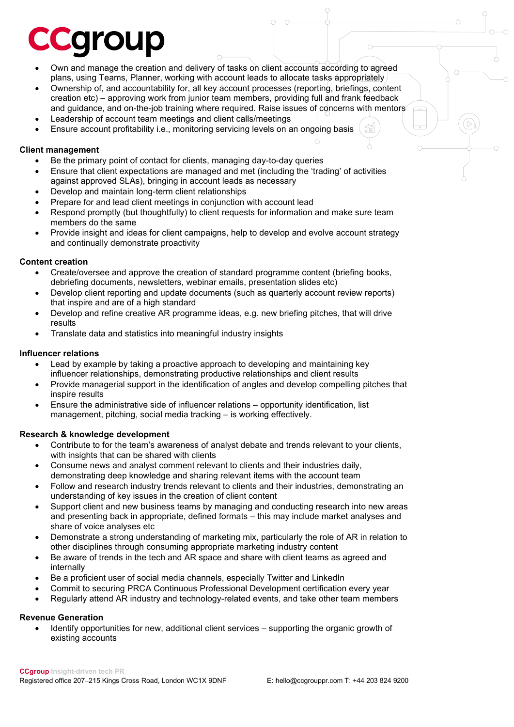## **Caroup**

- Own and manage the creation and delivery of tasks on client accounts according to agreed plans, using Teams, Planner, working with account leads to allocate tasks appropriately
- Ownership of, and accountability for, all key account processes (reporting, briefings, content creation etc) – approving work from junior team members, providing full and frank feedback and guidance, and on-the-job training where required. Raise issues of concerns with mentors
- Leadership of account team meetings and client calls/meetings
- Ensure account profitability i.e., monitoring servicing levels on an ongoing basis

#### **Client management**

- Be the primary point of contact for clients, managing day-to-day queries
- Ensure that client expectations are managed and met (including the 'trading' of activities against approved SLAs), bringing in account leads as necessary
- Develop and maintain long-term client relationships
- Prepare for and lead client meetings in conjunction with account lead
- Respond promptly (but thoughtfully) to client requests for information and make sure team members do the same
- Provide insight and ideas for client campaigns, help to develop and evolve account strategy and continually demonstrate proactivity

#### **Content creation**

- Create/oversee and approve the creation of standard programme content (briefing books, debriefing documents, newsletters, webinar emails, presentation slides etc)
- Develop client reporting and update documents (such as quarterly account review reports) that inspire and are of a high standard
- Develop and refine creative AR programme ideas, e.g. new briefing pitches, that will drive results
- Translate data and statistics into meaningful industry insights

#### **Influencer relations**

- Lead by example by taking a proactive approach to developing and maintaining key influencer relationships, demonstrating productive relationships and client results
- Provide managerial support in the identification of angles and develop compelling pitches that inspire results
- Ensure the administrative side of influencer relations opportunity identification, list management, pitching, social media tracking – is working effectively.

#### **Research & knowledge development**

- Contribute to for the team's awareness of analyst debate and trends relevant to your clients, with insights that can be shared with clients
- Consume news and analyst comment relevant to clients and their industries daily, demonstrating deep knowledge and sharing relevant items with the account team
- Follow and research industry trends relevant to clients and their industries, demonstrating an understanding of key issues in the creation of client content
- Support client and new business teams by managing and conducting research into new areas and presenting back in appropriate, defined formats – this may include market analyses and share of voice analyses etc
- Demonstrate a strong understanding of marketing mix, particularly the role of AR in relation to other disciplines through consuming appropriate marketing industry content
- Be aware of trends in the tech and AR space and share with client teams as agreed and internally
- Be a proficient user of social media channels, especially Twitter and LinkedIn
- Commit to securing PRCA Continuous Professional Development certification every year
- Regularly attend AR industry and technology-related events, and take other team members

#### **Revenue Generation**

• Identify opportunities for new, additional client services – supporting the organic growth of existing accounts

m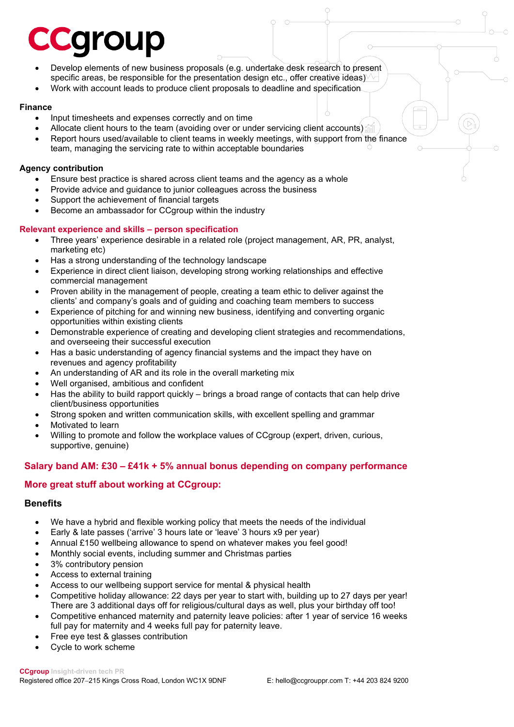## **Caroup**

- Develop elements of new business proposals (e.g. undertake desk research to present specific areas, be responsible for the presentation design etc., offer creative ideas)
- Work with account leads to produce client proposals to deadline and specification

#### **Finance**

- Input timesheets and expenses correctly and on time
- Allocate client hours to the team (avoiding over or under servicing client accounts)
- Report hours used/available to client teams in weekly meetings, with support from the finance team, managing the servicing rate to within acceptable boundaries

#### **Agency contribution**

- Ensure best practice is shared across client teams and the agency as a whole
- Provide advice and guidance to junior colleagues across the business
- Support the achievement of financial targets
- Become an ambassador for CC group within the industry

#### **Relevant experience and skills – person specification**

- Three years' experience desirable in a related role (project management, AR, PR, analyst, marketing etc)
- Has a strong understanding of the technology landscape
- Experience in direct client liaison, developing strong working relationships and effective commercial management
- Proven ability in the management of people, creating a team ethic to deliver against the clients' and company's goals and of guiding and coaching team members to success
- Experience of pitching for and winning new business, identifying and converting organic opportunities within existing clients
- Demonstrable experience of creating and developing client strategies and recommendations, and overseeing their successful execution
- Has a basic understanding of agency financial systems and the impact they have on revenues and agency profitability
- An understanding of AR and its role in the overall marketing mix
- Well organised, ambitious and confident
- Has the ability to build rapport quickly brings a broad range of contacts that can help drive client/business opportunities
- Strong spoken and written communication skills, with excellent spelling and grammar
- Motivated to learn
- Willing to promote and follow the workplace values of CCgroup (expert, driven, curious, supportive, genuine)

#### **Salary band AM: £30 – £41k + 5% annual bonus depending on company performance**

#### **More great stuff about working at CCgroup:**

#### **Benefits**

- We have a hybrid and flexible working policy that meets the needs of the individual
- Early & late passes ('arrive' 3 hours late or 'leave' 3 hours x9 per year)
- Annual £150 wellbeing allowance to spend on whatever makes you feel good!
- Monthly social events, including summer and Christmas parties
- 3% contributory pension
- Access to external training
- Access to our wellbeing support service for mental & physical health
- Competitive holiday allowance: 22 days per year to start with, building up to 27 days per year! There are 3 additional days off for religious/cultural days as well, plus your birthday off too!
- Competitive enhanced maternity and paternity leave policies: after 1 year of service 16 weeks full pay for maternity and 4 weeks full pay for paternity leave.
- Free eye test & glasses contribution
- Cycle to work scheme